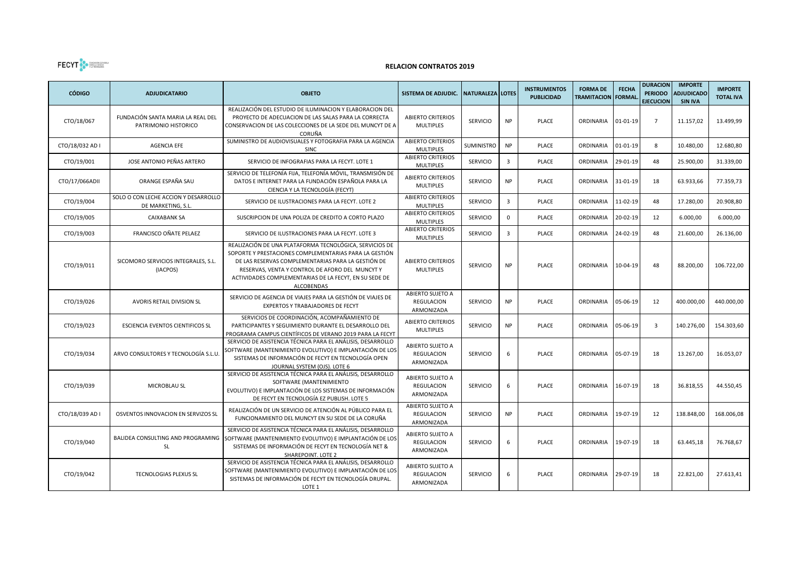FECYT **CONTRACTE SPARING** 

## **RELACION CONTRATOS 2019**

| <b>CÓDIGO</b>   | <b>ADJUDICATARIO</b>                                       | <b>OBJETO</b>                                                                                                                                                                                                                                                                                      | SISTEMA DE ADJUDIC.                                 | <b>NATURALEZA</b> | <b>LOTES</b>   | <b>INSTRUMENTOS</b><br><b>PUBLICIDAD</b> | <b>FORMA DE</b><br>TRAMITACION FORMAL. | <b>FECHA</b>   | <b>DURACION</b><br><b>PERIODO</b><br><b>EJECUCION</b> | <b>IMPORTE</b><br><b>ADJUDICADO</b><br><b>SIN IVA</b> | <b>IMPORTE</b><br><b>TOTAL IVA</b> |
|-----------------|------------------------------------------------------------|----------------------------------------------------------------------------------------------------------------------------------------------------------------------------------------------------------------------------------------------------------------------------------------------------|-----------------------------------------------------|-------------------|----------------|------------------------------------------|----------------------------------------|----------------|-------------------------------------------------------|-------------------------------------------------------|------------------------------------|
| CTO/18/067      | FUNDACIÓN SANTA MARIA LA REAL DEL<br>PATRIMONIO HISTORICO  | REALIZACIÓN DEL ESTUDIO DE ILUMINACION Y ELABORACION DEL<br>PROYECTO DE ADECUACION DE LAS SALAS PARA LA CORRECTA<br>CONSERVACION DE LAS COLECCIONES DE LA SEDE DEL MUNCYT DE A<br>CORUÑA                                                                                                           | <b>ABIERTO CRITERIOS</b><br><b>MULTIPLES</b>        | <b>SERVICIO</b>   | <b>NP</b>      | PLACE                                    | ORDINARIA                              | $01 - 01 - 19$ | $\overline{7}$                                        | 11.157,02                                             | 13.499,99                          |
| CTO/18/032 AD I | <b>AGENCIA EFE</b>                                         | SUMINISTRO DE AUDIOVISUALES Y FOTOGRAFIA PARA LA AGENCIA<br>SINC                                                                                                                                                                                                                                   | <b>ABIERTO CRITERIOS</b><br><b>MULTIPLES</b>        | <b>SUMINISTRO</b> | <b>NP</b>      | PLACE                                    | ORDINARIA                              | 01-01-19       | 8                                                     | 10.480,00                                             | 12.680,80                          |
| CTO/19/001      | JOSE ANTONIO PEÑAS ARTERO                                  | SERVICIO DE INFOGRAFIAS PARA LA FECYT. LOTE 1                                                                                                                                                                                                                                                      | <b>ABIERTO CRITERIOS</b><br><b>MULTIPLES</b>        | <b>SERVICIO</b>   | $\overline{3}$ | PLACE                                    | ORDINARIA                              | 29-01-19       | 48                                                    | 25.900,00                                             | 31.339,00                          |
| CTO/17/066ADII  | ORANGE ESPAÑA SAU                                          | SERVICIO DE TELEFONÍA FIJA, TELEFONÍA MÓVIL, TRANSMISIÓN DE<br>DATOS E INTERNET PARA LA FUNDACIÓN ESPAÑOLA PARA LA<br>CIENCIA Y LA TECNOLOGÍA (FECYT)                                                                                                                                              | <b>ABIERTO CRITERIOS</b><br><b>MULTIPLES</b>        | <b>SERVICIO</b>   | <b>NP</b>      | PLACE                                    | ORDINARIA                              | 31-01-19       | 18                                                    | 63.933,66                                             | 77.359,73                          |
| CTO/19/004      | SOLO O CON LECHE ACCION Y DESARROLLO<br>DE MARKETING, S.L. | SERVICIO DE ILUSTRACIONES PARA LA FECYT. LOTE 2                                                                                                                                                                                                                                                    | <b>ABIERTO CRITERIOS</b><br><b>MULTIPLES</b>        | <b>SERVICIO</b>   | $\overline{3}$ | PLACE                                    | ORDINARIA                              | 11-02-19       | 48                                                    | 17.280,00                                             | 20.908,80                          |
| CTO/19/005      | <b>CAIXABANK SA</b>                                        | SUSCRIPCION DE UNA POLIZA DE CREDITO A CORTO PLAZO                                                                                                                                                                                                                                                 | <b>ABIERTO CRITERIOS</b><br><b>MULTIPLES</b>        | <b>SERVICIO</b>   | $\mathbf 0$    | <b>PLACE</b>                             | ORDINARIA                              | 20-02-19       | 12                                                    | 6.000,00                                              | 6.000,00                           |
| CTO/19/003      | FRANCISCO OÑATE PELAEZ                                     | SERVICIO DE ILUSTRACIONES PARA LA FECYT. LOTE 3                                                                                                                                                                                                                                                    | <b>ABIERTO CRITERIOS</b><br>MULTIPLES               | <b>SERVICIO</b>   | $\overline{3}$ | PLACE                                    | ORDINARIA                              | 24-02-19       | 48                                                    | 21.600,00                                             | 26.136,00                          |
| CTO/19/011      | SICOMORO SERVICIOS INTEGRALES, S.L.<br>(IACPOS)            | REALIZACIÓN DE UNA PLATAFORMA TECNOLÓGICA, SERVICIOS DE<br>SOPORTE Y PRESTACIONES COMPLEMENTARIAS PARA LA GESTIÓN<br>DE LAS RESERVAS COMPLEMENTARIAS PARA LA GESTIÓN DE<br>RESERVAS, VENTA Y CONTROL DE AFORO DEL MUNCYT Y<br>ACTIVIDADES COMPLEMENTARIAS DE LA FECYT, EN SU SEDE DE<br>ALCOBENDAS | <b>ABIERTO CRITERIOS</b><br><b>MULTIPLES</b>        | <b>SERVICIO</b>   | <b>NP</b>      | PLACE                                    | ORDINARIA                              | 10-04-19       | 48                                                    | 88.200,00                                             | 106.722,00                         |
| CTO/19/026      | AVORIS RETAIL DIVISION SL                                  | SERVICIO DE AGENCIA DE VIAJES PARA LA GESTIÓN DE VIAJES DE<br>EXPERTOS Y TRABAJADORES DE FECYT                                                                                                                                                                                                     | <b>ABIERTO SUJETO A</b><br>REGULACION<br>ARMONIZADA | <b>SERVICIO</b>   | <b>NP</b>      | PLACE                                    | ORDINARIA                              | 05-06-19       | 12                                                    | 400.000,00                                            | 440.000,00                         |
| CTO/19/023      | ESCIENCIA EVENTOS CIENTIFICOS SL                           | SERVICIOS DE COORDINACIÓN, ACOMPAÑAMIENTO DE<br>PARTICIPANTES Y SEGUIMIENTO DURANTE EL DESARROLLO DEL<br>PROGRAMA CAMPUS CIENTÍFICOS DE VERANO 2019 PARA LA FECYT                                                                                                                                  | <b>ABIERTO CRITERIOS</b><br><b>MULTIPLES</b>        | <b>SERVICIO</b>   | <b>NP</b>      | PLACE                                    | ORDINARIA                              | 05-06-19       | $\overline{\mathbf{3}}$                               | 140.276,00                                            | 154.303,60                         |
| CTO/19/034      | ARVO CONSULTORES Y TECNOLOGÍA S.L.U                        | SERVICIO DE ASISTENCIA TÉCNICA PARA EL ANÁLISIS, DESARROLLO<br>SOFTWARE (MANTENIMIENTO EVOLUTIVO) E IMPLANTACIÓN DE LOS<br>SISTEMAS DE INFORMACIÓN DE FECYT EN TECNOLOGÍA OPEN<br>JOURNAL SYSTEM (OJS). LOTE 6                                                                                     | ABIERTO SUJETO A<br>REGULACION<br>ARMONIZADA        | <b>SERVICIO</b>   | -6             | PLACE                                    | ORDINARIA                              | 05-07-19       | 18                                                    | 13.267,00                                             | 16.053,07                          |
| CTO/19/039      | MICROBLAU SL                                               | SERVICIO DE ASISTENCIA TÉCNICA PARA EL ANÁLISIS, DESARROLLO<br>SOFTWARE (MANTENIMIENTO<br>EVOLUTIVO) E IMPLANTACIÓN DE LOS SISTEMAS DE INFORMACIÓN<br>DE FECYT EN TECNOLOGÍA EZ PUBLISH. LOTE 5                                                                                                    | ABIERTO SUJETO A<br>REGULACION<br>ARMONIZADA        | <b>SERVICIO</b>   | 6              | PLACE                                    | ORDINARIA                              | 16-07-19       | 18                                                    | 36.818,55                                             | 44.550,45                          |
| CTO/18/039 AD I | OSVENTOS INNOVACION EN SERVIZOS SL                         | REALIZACIÓN DE UN SERVICIO DE ATENCIÓN AL PÚBLICO PARA EL<br>FUNCIONAMIENTO DEL MUNCYT EN SU SEDE DE LA CORUÑA                                                                                                                                                                                     | ABIERTO SUJETO A<br>REGULACION<br>ARMONIZADA        | <b>SERVICIO</b>   | <b>NP</b>      | <b>PLACE</b>                             | ORDINARIA                              | 19-07-19       | 12                                                    | 138.848,00                                            | 168.006,08                         |
| CTO/19/040      | BALIDEA CONSULTING AND PROGRAMING<br><b>SL</b>             | SERVICIO DE ASISTENCIA TÉCNICA PARA EL ANÁLISIS, DESARROLLO<br>SOFTWARE (MANTENIMIENTO EVOLUTIVO) E IMPLANTACIÓN DE LOS<br>SISTEMAS DE INFORMACIÓN DE FECYT EN TECNOLOGÍA NET &<br>SHAREPOINT. LOTE 2                                                                                              | ABIERTO SUJETO A<br>REGULACION<br>ARMONIZADA        | <b>SERVICIO</b>   | 6              | PLACE                                    | ORDINARIA                              | 19-07-19       | 18                                                    | 63.445,18                                             | 76.768,67                          |
| CTO/19/042      | TECNOLOGIAS PLEXUS SL                                      | SERVICIO DE ASISTENCIA TÉCNICA PARA EL ANÁLISIS, DESARROLLO<br>SOFTWARE (MANTENIMIENTO EVOLUTIVO) E IMPLANTACIÓN DE LOS<br>SISTEMAS DE INFORMACIÓN DE FECYT EN TECNOLOGÍA DRUPAL.<br>LOTE <sub>1</sub>                                                                                             | ABIERTO SUJETO A<br>REGULACION<br>ARMONIZADA        | <b>SERVICIO</b>   | 6              | PLACE                                    | ORDINARIA                              | 29-07-19       | 18                                                    | 22.821,00                                             | 27.613,41                          |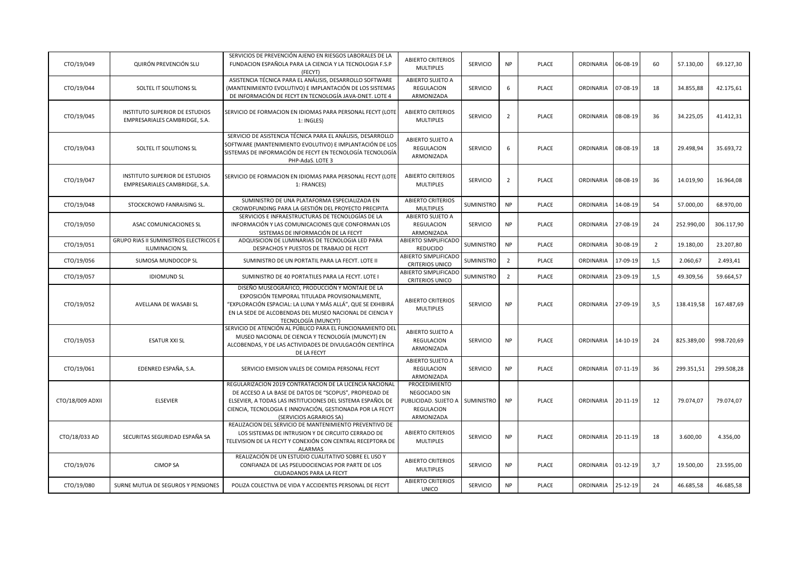| CTO/19/049       | QUIRÓN PREVENCIÓN SLU                                           | SERVICIOS DE PREVENCIÓN AJENO EN RIESGOS LABORALES DE LA<br>FUNDACION ESPAÑOLA PARA LA CIENCIA Y LA TECNOLOGIA F.S.P<br>(FECYT)                                                                                                                                          | <b>ABIERTO CRITERIOS</b><br><b>MULTIPLES</b>                                              | <b>SERVICIO</b>   | <b>NP</b>      | PLACE        | ORDINARIA | 06-08-19   | 60             | 57.130,00  | 69.127,30  |
|------------------|-----------------------------------------------------------------|--------------------------------------------------------------------------------------------------------------------------------------------------------------------------------------------------------------------------------------------------------------------------|-------------------------------------------------------------------------------------------|-------------------|----------------|--------------|-----------|------------|----------------|------------|------------|
| CTO/19/044       | SOLTEL IT SOLUTIONS SL                                          | ASISTENCIA TÉCNICA PARA EL ANÁLISIS, DESARROLLO SOFTWARE<br>(MANTENIMIENTO EVOLUTIVO) E IMPLANTACIÓN DE LOS SISTEMAS<br>DE INFORMACIÓN DE FECYT EN TECNOLOGÍA JAVA-DNET. LOTE 4                                                                                          | ABIERTO SUJETO A<br>REGULACION<br>ARMONIZADA                                              | <b>SERVICIO</b>   | 6              | PLACE        | ORDINARIA | 07-08-19   | 18             | 34.855,88  | 42.175,61  |
| CTO/19/045       | INSTITUTO SUPERIOR DE ESTUDIOS<br>EMPRESARIALES CAMBRIDGE, S.A. | SERVICIO DE FORMACION EN IDIOMAS PARA PERSONAL FECYT (LOTE<br>1: INGLES)                                                                                                                                                                                                 | <b>ABIERTO CRITERIOS</b><br>MULTIPLES                                                     | <b>SERVICIO</b>   | $\overline{2}$ | <b>PLACE</b> | ORDINARIA | 08-08-19   | 36             | 34.225,05  | 41.412,31  |
| CTO/19/043       | SOLTEL IT SOLUTIONS SL                                          | SERVICIO DE ASISTENCIA TÉCNICA PARA EL ANÁLISIS, DESARROLLO<br>SOFTWARE (MANTENIMIENTO EVOLUTIVO) E IMPLANTACIÓN DE LOS<br>SISTEMAS DE INFORMACIÓN DE FECYT EN TECNOLOGÍA TECNOLOGÍA<br>PHP-AdaS. LOTE 3                                                                 | ABIERTO SUJETO A<br>REGULACION<br>ARMONIZADA                                              | <b>SERVICIO</b>   | 6              | PLACE        | ORDINARIA | 08-08-19   | 18             | 29.498,94  | 35.693,72  |
| CTO/19/047       | INSTITUTO SUPERIOR DE ESTUDIOS<br>EMPRESARIALES CAMBRIDGE, S.A. | SERVICIO DE FORMACION EN IDIOMAS PARA PERSONAL FECYT (LOTE<br>1: FRANCES)                                                                                                                                                                                                | <b>ABIERTO CRITERIOS</b><br>MULTIPLES                                                     | <b>SERVICIO</b>   | $\overline{2}$ | PLACE        | ORDINARIA | 08-08-19   | 36             | 14.019,90  | 16.964,08  |
| CTO/19/048       | STOCKCROWD FANRAISING SL.                                       | SUMINISTRO DE UNA PLATAFORMA ESPECIALIZADA EN<br>CROWDFUNDING PARA LA GESTIÓN DEL PROYECTO PRECIPITA                                                                                                                                                                     | <b>ABIERTO CRITERIOS</b><br><b>MULTIPLES</b>                                              | SUMINISTRO        | <b>NP</b>      | PLACE        | ORDINARIA | 14-08-19   | 54             | 57.000,00  | 68.970,00  |
| CTO/19/050       | ASAC COMUNICACIONES SL                                          | SERVICIOS E INFRAESTRUCTURAS DE TECNOLOGÍAS DE LA<br>INFORMACIÓN Y LAS COMUNICACIONES QUE CONFORMAN LOS<br>SISTEMAS DE INFORMACIÓN DE LA FECYT                                                                                                                           | ABIERTO SUJETO A<br>REGULACION<br>ARMONIZADA                                              | <b>SERVICIO</b>   | <b>NP</b>      | PLACE        | ORDINARIA | 27-08-19   | 24             | 252.990,00 | 306.117,90 |
| CTO/19/051       | GRUPO RIAS II SUMINISTROS ELECTRICOS E<br><b>ILUMINACION SL</b> | ADQUISICION DE LUMINARIAS DE TECNOLOGIA LED PARA<br>DESPACHOS Y PUESTOS DE TRABAJO DE FECYT                                                                                                                                                                              | ABIERTO SIMPLIFICADO<br><b>REDUCIDO</b>                                                   | <b>SUMINISTRO</b> | <b>NP</b>      | PLACE        | ORDINARIA | 30-08-19   | $\overline{2}$ | 19.180,00  | 23.207,80  |
| CTO/19/056       | SUMOSA MUNDOCOP SL                                              | SUMINISTRO DE UN PORTATIL PARA LA FECYT. LOTE II                                                                                                                                                                                                                         | ABIERTO SIMPLIFICADO<br><b>CRITERIOS UNICO</b>                                            | SUMINISTRO        | $\overline{2}$ | PLACE        | ORDINARIA | 17-09-19   | 1,5            | 2.060,67   | 2.493,41   |
| CTO/19/057       | <b>IDIOMUND SL</b>                                              | SUMINISTRO DE 40 PORTATILES PARA LA FECYT. LOTE I                                                                                                                                                                                                                        | <b>ABIERTO SIMPLIFICADO</b><br><b>CRITERIOS UNICO</b>                                     | SUMINISTRO        | $\overline{2}$ | PLACE        | ORDINARIA | 23-09-19   | 1,5            | 49.309,56  | 59.664,57  |
| CTO/19/052       | AVELLANA DE WASABI SL                                           | DISEÑO MUSEOGRÁFICO, PRODUCCIÓN Y MONTAJE DE LA<br>EXPOSICIÓN TEMPORAL TITULADA PROVISIONALMENTE,<br>"EXPLORACIÓN ESPACIAL: LA LUNA Y MÁS ALLÁ", QUE SE EXHIBIRÁ<br>EN LA SEDE DE ALCOBENDAS DEL MUSEO NACIONAL DE CIENCIA Y<br>TECNOLOGÍA (MUNCYT)                      | <b>ABIERTO CRITERIOS</b><br><b>MULTIPLES</b>                                              | <b>SERVICIO</b>   | <b>NP</b>      | PLACE        | ORDINARIA | 27-09-19   | 3,5            | 138.419,58 | 167.487,69 |
| CTO/19/053       | <b>ESATUR XXI SL</b>                                            | SERVICIO DE ATENCIÓN AL PÚBLICO PARA EL FUNCIONAMIENTO DEL<br>MUSEO NACIONAL DE CIENCIA Y TECNOLOGÍA (MUNCYT) EN<br>ALCOBENDAS, Y DE LAS ACTIVIDADES DE DIVULGACIÓN CIENTÍFICA<br>DE LA FECYT                                                                            | ABIERTO SUJETO A<br>REGULACION<br>ARMONIZADA                                              | <b>SERVICIO</b>   | <b>NP</b>      | PLACE        | ORDINARIA | 14-10-19   | 24             | 825.389,00 | 998.720,69 |
| CTO/19/061       | EDENRED ESPAÑA, S.A.                                            | SERVICIO EMISION VALES DE COMIDA PERSONAL FECYT                                                                                                                                                                                                                          | ABIERTO SUJETO A<br>REGULACION<br>ARMONIZADA                                              | SERVICIO          | <b>NP</b>      | PLACE        | ORDINARIA | $07-11-19$ | 36             | 299.351,51 | 299.508,28 |
| CTO/18/009 ADXII | <b>ELSEVIER</b>                                                 | REGULARIZACION 2019 CONTRATACION DE LA LICENCIA NACIONAL<br>DE ACCESO A LA BASE DE DATOS DE "SCOPUS", PROPIEDAD DE<br>ELSEVIER, A TODAS LAS INSTITUCIONES DEL SISTEMA ESPAÑOL DE<br>CIENCIA, TECNOLOGIA E INNOVACIÓN, GESTIONADA POR LA FECYT<br>(SERVICIOS AGRARIOS SA) | PROCEDIMIENTO<br>NEGOCIADO SIN<br>PUBLICIDAD. SUJETO A<br><b>REGULACION</b><br>ARMONIZADA | SUMINISTRO        | <b>NP</b>      | PLACE        | ORDINARIA | 20-11-19   | 12             | 79.074,07  | 79.074,07  |
| CTO/18/033 AD    | SECURITAS SEGURIDAD ESPAÑA SA                                   | REALIZACION DEL SERVICIO DE MANTENIMIENTO PREVENTIVO DE<br>LOS SISTEMAS DE INTRUSION Y DE CIRCUITO CERRADO DE<br>TELEVISION DE LA FECYT Y CONEXIÓN CON CENTRAL RECEPTORA DE<br><b>ALARMAS</b>                                                                            | <b>ABIERTO CRITERIOS</b><br>MULTIPLES                                                     | SERVICIO          | <b>NP</b>      | PLACE        | ORDINARIA | 20-11-19   | 18             | 3.600,00   | 4.356,00   |
| CTO/19/076       | <b>CIMOP SA</b>                                                 | REALIZACIÓN DE UN ESTUDIO CUALITATIVO SOBRE EL USO Y<br>CONFIANZA DE LAS PSEUDOCIENCIAS POR PARTE DE LOS<br>CIUDADANOS PARA LA FECYT                                                                                                                                     | <b>ABIERTO CRITERIOS</b><br><b>MULTIPLES</b>                                              | SERVICIO          | <b>NP</b>      | PLACE        | ORDINARIA | 01-12-19   | 3,7            | 19.500,00  | 23.595,00  |
| CTO/19/080       | SURNE MUTUA DE SEGUROS Y PENSIONES                              | POLIZA COLECTIVA DE VIDA Y ACCIDENTES PERSONAL DE FECYT                                                                                                                                                                                                                  | <b>ABIERTO CRITERIOS</b><br><b>UNICO</b>                                                  | SERVICIO          | <b>NP</b>      | PLACE        | ORDINARIA | 25-12-19   | 24             | 46.685,58  | 46.685,58  |